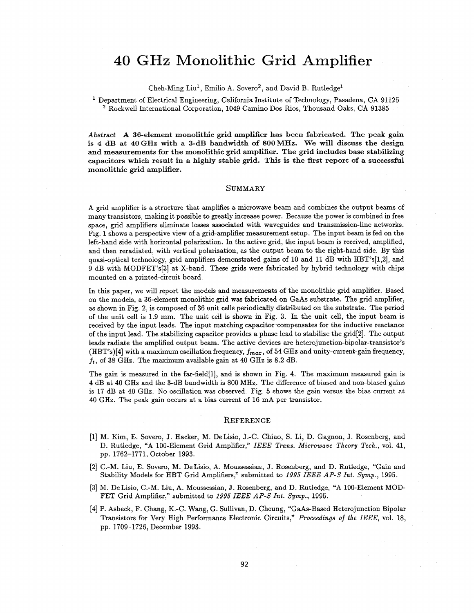## **GHz** Monolithic Grid **Amplifier**

Cheh-Ming Liu<sup>1</sup>, Emilio A. Sovero<sup>2</sup>, and David B. Rutledge<sup>1</sup>

<sup>1</sup> Department of Electrical Engineering, California Institute of Technology, Pasadena, CA 91125 Rockwell International Corporation, 1049 Camino **Dos** *&os,* Thousand Oaks, **CA** 91385

*Abstract-A* 36-element monolithic grid **amplifier has** been fabricated. The peak **gain**  is **4** dB at **40GHz** with **a** 3-dB bandwidth **of 800MHz.** We will discuss the design **and** measurements **for** the monolithic grid amplifier. The grid includes base stabilizing capacitors which result in a highly stable grid. This is the first report **of** a successful monolithic grid amplifier.

## **SUMMARY**

**A** grid amplifier is a structure that amplifies a microwave beam and combines the output beams of many transistors, making it possible to greatly increase power. Because the power is combined in free space, grid ampliiers eliminate losses associated with waveguides and transmission-line networks. Fig. 1 shows a perspective view of a grid-amplifier measurement setup. The input beam is fed on the left-hand side with horizontal polarization. In the active grid, the input beam is received, amplified, and then reradiated, with vertical polarization, **as** the output beam to the right-hand side. By this quasi-optical technology, grid amplifiers demonstrated gains of 10 and 11 dB with HBT's[1,2], and 9 dB with MODFET's[3] at X-band. These grids were fabricated by hybrid technology with chips mounted on a printed-circuit board.

In this paper, we will report the models and measurements of the monolithic grid amplifier. Based on the models, a 36-element monolithic grid was fabricated on GaAs substrate. The grid amplifier, as shown in Fig. 2, is composed of 36 unit cells periodically distributed on the substrate. The period of the unit cell is 1.9 mm. The unit cell is shown in Fig. **3.** In the unit cell, the input beam is received by the input leads. The input matching capacitor compensates for the inductive reactance of the input lead. The stabilizing capacitor provides a phase lead to stabilize the grid[2]. The output leads radiate the amplified output beam. The active devices are heterojunction-bipolar-transistor's (HBT's)[4] with a maximum oscillation frequency,  $f_{max}$ , of 54 GHz and unity-current-gain frequency,  $f_t$ , of 38 GHz. The maximum available gain at 40 GHz is 8.2 dB.

The gain is measured in the far-field  $[1]$ , and is shown in Fig. 4. The maximum measured gain is 4 dB at 40 GHz and the 3-dB bandwidth is 800 MHz. The difference of biased and non-biased gains is 17 dB at 40 GHz. No oscillation was observed. Fig. 5 shows the gain versus the bias current at 40 GHz. The peak gain occurs at a bias current of 16 mA per transistor.

## **REFERENCE**

- [l] M. Kim, E. Sovero, **J.** Hacker, M. DeLisio, J.-C. Chiao, S. Li, D. Gagnon, J. Rosenberg, and D. Rutledge, "A 100-Element Grid Amplifier," *IEEE Trans. Microwave Theory Tech.,* vol. 41, pp. 1762-1771, October 1993.
- [2] C.-M. Liu, E. Sovero, M. DeLisio, **A.** Moussessian, J. bsenberg, and D. Rutledge, "Gain and Stability Models for HBT Grid Amplifiers," submitted to 1995 *IEEE AP-S Int. Symp.,* 1995.
- [3] M. DeLisio, C.-M. Liu, **A.** MouSSeSSian, **J.** Rosenberg, and D. Rutledge, **"A** 100-Element MOD-FET Grid Amplifier," submitted to *1995 IEEE AP-S ht. Symp.,* 1995.
- [4] P. Asbeck, F. Chang, K.-C. Wang, G. Sullivan, **D.** Cheung, "GaAs-Based Heterojunction Bipolar Transistors for Very High Performance Electronic Circuits," *Proceedings of the IEEE,* vol. 18, pp. 1709-1726, December 1993.